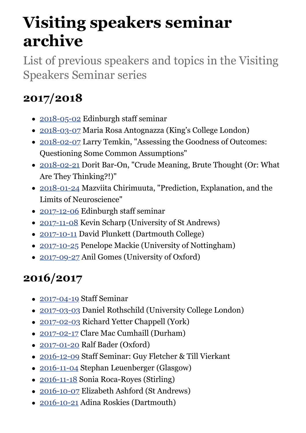# **Visiting speakers seminar archive**

List of previous speakers and topics in the Visiting Speakers Seminar series

# **2017/2018**

- [2018-05-02](https://www.ed.ac.uk/ppls/philosophy/events/visiting-speaker-seminar-2018-05-02) Edinburgh staff seminar
- [2018-03-07](https://www.ed.ac.uk/ppls/philosophy/events/visiting-speaker-seminar-2018-03-07) Maria Rosa Antognazza (King's College London)
- [2018-02-07](https://www.ed.ac.uk/ppls/philosophy/events/visiting-speaker-seminar-2018-02-07) Larry Temkin, "Assessing the Goodness of Outcomes: Questioning Some Common Assumptions"
- [2018-02-21](https://www.ed.ac.uk/ppls/philosophy/events/visiting-speaker-seminar-2018-02-21) Dorit Bar-On, "Crude Meaning, Brute Thought (Or: What Are They Thinking?!)"
- [2018-01-24](https://www.ed.ac.uk/ppls/philosophy/events/visiting-speaker-seminar-2018-01-24) Mazviita Chirimuuta, "Prediction, Explanation, and the Limits of Neuroscience"
- [2017-12-06](https://www.ed.ac.uk/ppls/philosophy/events/visiting-speaker-seminar-2017-12-06) Edinburgh staff seminar
- [2017-11-08](https://www.ed.ac.uk/ppls/philosophy/events/visiting-speaker-seminar-2017-11-08) Kevin Scharp (University of St Andrews)
- [2017-10-11](https://www.ed.ac.uk/ppls/philosophy/events/visiting-speaker-seminar-11-oct-2017) David Plunkett (Dartmouth College)
- [2017-10-25](https://www.ed.ac.uk/ppls/philosophy/events/visiting-speaker-seminar-25-oct-2017) Penelope Mackie (University of Nottingham)
- [2017-09-27](https://www.ed.ac.uk/ppls/philosophy/events/visiting-speaker-seminar-27-sep-2017) Anil Gomes (University of Oxford)

# **2016/2017**

- [2017-04-19](https://www.ed.ac.uk/ppls/philosophy/events/visiting-speaker-seminar-19-apr-2017) Staff Seminar
- [2017-03-03](https://www.ed.ac.uk/ppls/philosophy/events/visiting-speaker-seminar-03-mar-2017) Daniel Rothschild (University College London)
- [2017-02-03](https://www.ed.ac.uk/ppls/philosophy/events/visiting-speaker-seminar-03-feb-2017) Richard Yetter Chappell (York)
- [2017-02-17](https://www.ed.ac.uk/ppls/philosophy/events/visiting-speaker-seminar-17-feb-2017) Clare Mac Cumhaill (Durham)
- [2017-01-20](https://www.ed.ac.uk/ppls/philosophy/events/visiting-speaker-seminar-20-jan-2017) Ralf Bader (Oxford)
- [2016-12-09](https://www.ed.ac.uk/ppls/philosophy/events/visiting-speaker-seminar-09-dec-2016) Staff Seminar: Guy Fletcher & Till Vierkant
- [2016-11-04](https://www.ed.ac.uk/ppls/philosophy/events/visiting-speaker-seminar-04-nov-2016) Stephan Leuenberger (Glasgow)
- [2016-11-18](https://www.ed.ac.uk/ppls/philosophy/events/visiting-speaker-seminar-18-nov-2016) Sonia Roca-Royes (Stirling)
- [2016-10-07](https://www.ed.ac.uk/ppls/philosophy/events/visiting-speaker-seminar-07-oct-2016) Elizabeth Ashford (St Andrews)
- [2016-10-21](https://www.ed.ac.uk/ppls/philosophy/events/visiting-speaker-seminar-21-oct-2016) Adina Roskies (Dartmouth)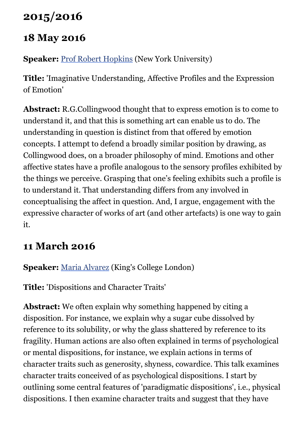### **2015/2016**

#### **18 May 2016**

#### **Speaker:** [Prof Robert Hopkins](http://philosophy.fas.nyu.edu/object/roberthopkins.html) (New York University)

**Title:** 'Imaginative Understanding, Affective Profiles and the Expression of Emotion'

**Abstract:** R.G.Collingwood thought that to express emotion is to come to understand it, and that this is something art can enable us to do. The understanding in question is distinct from that offered by emotion concepts. I attempt to defend a broadly similar position by drawing, as Collingwood does, on a broader philosophy of mind. Emotions and other affective states have a profile analogous to the sensory profiles exhibited by the things we perceive. Grasping that one's feeling exhibits such a profile is to understand it. That understanding differs from any involved in conceptualising the affect in question. And, I argue, engagement with the expressive character of works of art (and other artefacts) is one way to gain it.

### **11 March 2016**

#### **Speaker:** [Maria Alvarez](http://www.kcl.ac.uk/artshums/depts/philosophy/people/staff/academic/alvarez/index.aspx) (King's College London)

**Title:** 'Dispositions and Character Traits'

**Abstract:** We often explain why something happened by citing a disposition. For instance, we explain why a sugar cube dissolved by reference to its solubility, or why the glass shattered by reference to its fragility. Human actions are also often explained in terms of psychological or mental dispositions, for instance, we explain actions in terms of character traits such as generosity, shyness, cowardice. This talk examines character traits conceived of as psychological dispositions. I start by outlining some central features of 'paradigmatic dispositions', i.e., physical dispositions. I then examine character traits and suggest that they have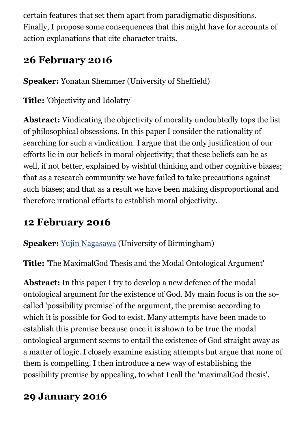certain features that set them apart from paradigmatic dispositions. Finally, I propose some consequences that this might have for accounts of action explanations that cite character traits.

#### **26 February 2016**

**Speaker:** Yonatan Shemmer (University of Sheffield)

**Title:** 'Objectivity and Idolatry'

**Abstract:** Vindicating the objectivity of morality undoubtedly tops the list of philosophical obsessions. In this paper I consider the rationality of searching for such a vindication. I argue that the only justification of our efforts lie in our beliefs in moral objectivity; that these beliefs can be as well, if not better, explained by wishful thinking and other cognitive biases; that as a research community we have failed to take precautions against such biases; and that as a result we have been making disproportional and therefore irrational efforts to establish moral objectivity.

#### **12 February 2016**

**Speaker:** [Yujin Nagasawa](http://www.birmingham.ac.uk/staff/profiles/philosophy/nagasawa-yujin.aspx) (University of Birmingham)

**Title:** 'The MaximalGod Thesis and the Modal Ontological Argument'

**Abstract:** In this paper I try to develop a new defence of the modal ontological argument for the existence of God. My main focus is on the socalled 'possibility premise' of the argument, the premise according to which it is possible for God to exist. Many attempts have been made to establish this premise because once it is shown to be true the modal ontological argument seems to entail the existence of God straight away as a matter of logic. I closely examine existing attempts but argue that none of them is compelling. I then introduce a new way of establishing the possibility premise by appealing, to what I call the 'maximalGod thesis'.

#### **29 January 2016**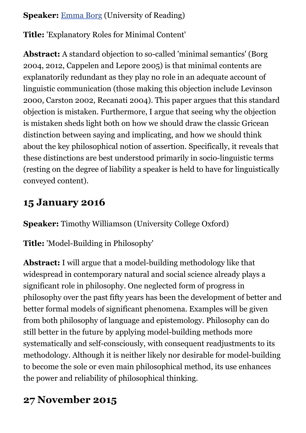#### **Speaker:** [Emma Borg](http://www.reading.ac.uk/philosophy/about/staff/e-g-n-borg.aspx) (University of Reading)

**Title:** 'Explanatory Roles for Minimal Content'

**Abstract:** A standard objection to so-called 'minimal semantics' (Borg 2004, 2012, Cappelen and Lepore 2005) is that minimal contents are explanatorily redundant as they play no role in an adequate account of linguistic communication (those making this objection include Levinson 2000, Carston 2002, Recanati 2004). This paper argues that this standard objection is mistaken. Furthermore, I argue that seeing why the objection is mistaken sheds light both on how we should draw the classic Gricean distinction between saying and implicating, and how we should think about the key philosophical notion of assertion. Specifically, it reveals that these distinctions are best understood primarily in socio-linguistic terms (resting on the degree of liability a speaker is held to have for linguistically conveyed content).

#### **15 January 2016**

**Speaker:** Timothy Williamson (University College Oxford)

**Title:** 'Model-Building in Philosophy'

**Abstract:** I will argue that a model-building methodology like that widespread in contemporary natural and social science already plays a significant role in philosophy. One neglected form of progress in philosophy over the past fifty years has been the development of better and better formal models of significant phenomena. Examples will be given from both philosophy of language and epistemology. Philosophy can do still better in the future by applying model-building methods more systematically and self-consciously, with consequent readjustments to its methodology. Although it is neither likely nor desirable for model-building to become the sole or even main philosophical method, its use enhances the power and reliability of philosophical thinking.

### **27 November 2015**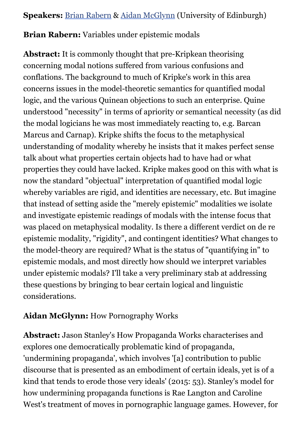**Speakers:** [Brian Rabern](http://www.philosophy.ed.ac.uk/people/view.php?name=brian-rabern) & [Aidan McGlynn](http://www.philosophy.ed.ac.uk/people/view.php?name=aidan-mcglynn) (University of Edinburgh)

#### **Brian Rabern:** Variables under epistemic modals

**Abstract:** It is commonly thought that pre-Kripkean theorising concerning modal notions suffered from various confusions and conflations. The background to much of Kripke's work in this area concerns issues in the model-theoretic semantics for quantified modal logic, and the various Quinean objections to such an enterprise. Quine understood "necessity" in terms of apriority or semantical necessity (as did the modal logicians he was most immediately reacting to, e.g. Barcan Marcus and Carnap). Kripke shifts the focus to the metaphysical understanding of modality whereby he insists that it makes perfect sense talk about what properties certain objects had to have had or what properties they could have lacked. Kripke makes good on this with what is now the standard "objectual" interpretation of quantified modal logic whereby variables are rigid, and identities are necessary, etc. But imagine that instead of setting aside the "merely epistemic" modalities we isolate and investigate epistemic readings of modals with the intense focus that was placed on metaphysical modality. Is there a different verdict on de re epistemic modality, "rigidity", and contingent identities? What changes to the model-theory are required? What is the status of "quantifying in" to epistemic modals, and most directly how should we interpret variables under epistemic modals? I'll take a very preliminary stab at addressing these questions by bringing to bear certain logical and linguistic considerations.

#### **Aidan McGlynn:** How Pornography Works

**Abstract:** Jason Stanley's How Propaganda Works characterises and explores one democratically problematic kind of propaganda, 'undermining propaganda', which involves '[a] contribution to public discourse that is presented as an embodiment of certain ideals, yet is of a kind that tends to erode those very ideals' (2015: 53). Stanley's model for how undermining propaganda functions is Rae Langton and Caroline West's treatment of moves in pornographic language games. However, for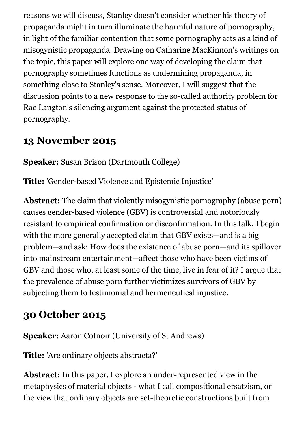reasons we will discuss, Stanley doesn't consider whether his theory of propaganda might in turn illuminate the harmful nature of pornography, in light of the familiar contention that some pornography acts as a kind of misogynistic propaganda. Drawing on Catharine MacKinnon's writings on the topic, this paper will explore one way of developing the claim that pornography sometimes functions as undermining propaganda, in something close to Stanley's sense. Moreover, I will suggest that the discussion points to a new response to the so-called authority problem for Rae Langton's silencing argument against the protected status of pornography.

### **13 November 2015**

**Speaker:** Susan Brison (Dartmouth College)

**Title:** 'Gender-based Violence and Epistemic Injustice'

**Abstract:** The claim that violently misogynistic pornography (abuse porn) causes gender-based violence (GBV) is controversial and notoriously resistant to empirical confirmation or disconfirmation. In this talk, I begin with the more generally accepted claim that GBV exists—and is a big problem—and ask: How does the existence of abuse porn—and its spillover into mainstream entertainment—affect those who have been victims of GBV and those who, at least some of the time, live in fear of it? I argue that the prevalence of abuse porn further victimizes survivors of GBV by subjecting them to testimonial and hermeneutical injustice.

### **30 October 2015**

**Speaker:** Aaron Cotnoir (University of St Andrews)

**Title:** 'Are ordinary objects abstracta?'

**Abstract:** In this paper, I explore an under-represented view in the metaphysics of material objects - what I call compositional ersatzism, or the view that ordinary objects are set-theoretic constructions built from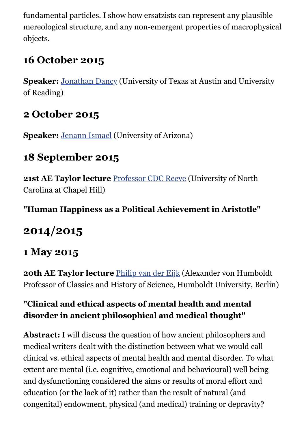fundamental particles. I show how ersatzists can represent any plausible mereological structure, and any non-emergent properties of macrophysical objects.

#### **16 October 2015**

**Speaker:** [Jonathan Dancy](http://www.utexas.edu/cola/philosophy/faculty/profile.php?id=jpd346) (University of Texas at Austin and University of Reading)

#### **2 October 2015**

**Speaker:** [Jenann Ismael](http://philosophy.arizona.edu/user/jenann-ismael) (University of Arizona)

### **18 September 2015**

21st AE Taylor lecture **Professor CDC Reeve** (University of North Carolina at Chapel Hill)

**"Human Happiness as a Political Achievement in Aristotle"**

# **2014/2015**

#### **1 May 2015**

**20th AE Taylor lecture** [Philip van der Eijk](https://www.klassphil.hu-berlin.de/avh-professur/staff/vandereijk) (Alexander von Humboldt Professor of Classics and History of Science, Humboldt University, Berlin)

#### **"Clinical and ethical aspects of mental health and mental disorder in ancient philosophical and medical thought"**

**Abstract:** I will discuss the question of how ancient philosophers and medical writers dealt with the distinction between what we would call clinical vs. ethical aspects of mental health and mental disorder. To what extent are mental (i.e. cognitive, emotional and behavioural) well being and dysfunctioning considered the aims or results of moral effort and education (or the lack of it) rather than the result of natural (and congenital) endowment, physical (and medical) training or depravity?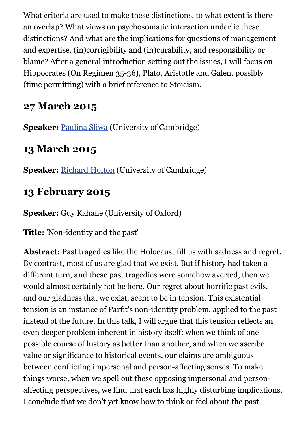What criteria are used to make these distinctions, to what extent is there an overlap? What views on psychosomatic interaction underlie these distinctions? And what are the implications for questions of management and expertise, (in)corrigibility and (in)curability, and responsibility or blame? After a general introduction setting out the issues, I will focus on Hippocrates (On Regimen 35-36), Plato, Aristotle and Galen, possibly (time permitting) with a brief reference to Stoicism.

### **27 March 2015**

**Speaker:** [Paulina Sliwa](http://www.sid.cam.ac.uk/aboutus/people/person.html?crsid=pas70) (University of Cambridge)

### **13 March 2015**

**Speaker:** [Richard Holton](http://people.ds.cam.ac.uk/rjh221/) (University of Cambridge)

### **13 February 2015**

**Speaker:** Guy Kahane (University of Oxford)

**Title:** 'Non-identity and the past'

**Abstract:** Past tragedies like the Holocaust fill us with sadness and regret. By contrast, most of us are glad that we exist. But if history had taken a different turn, and these past tragedies were somehow averted, then we would almost certainly not be here. Our regret about horrific past evils, and our gladness that we exist, seem to be in tension. This existential tension is an instance of Parfit's non-identity problem, applied to the past instead of the future. In this talk, I will argue that this tension reflects an even deeper problem inherent in history itself: when we think of one possible course of history as better than another, and when we ascribe value or significance to historical events, our claims are ambiguous between conflicting impersonal and person-affecting senses. To make things worse, when we spell out these opposing impersonal and personaffecting perspectives, we find that each has highly disturbing implications. I conclude that we don't yet know how to think or feel about the past.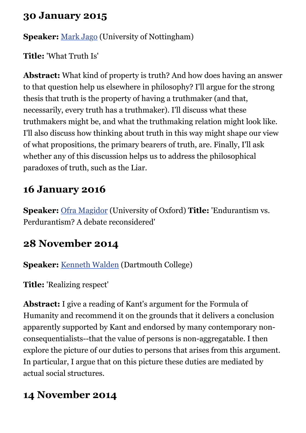#### **30 January 2015**

**Speaker:** [Mark Jago](http://www.nottingham.ac.uk/philosophy/people/mark.jago) (University of Nottingham)

**Title:** 'What Truth Is'

**Abstract:** What kind of property is truth? And how does having an answer to that question help us elsewhere in philosophy? I'll argue for the strong thesis that truth is the property of having a truthmaker (and that, necessarily, every truth has a truthmaker). I'll discuss what these truthmakers might be, and what the truthmaking relation might look like. I'll also discuss how thinking about truth in this way might shape our view of what propositions, the primary bearers of truth, are. Finally, I'll ask whether any of this discussion helps us to address the philosophical paradoxes of truth, such as the Liar.

### **16 January 2016**

**Speaker:** [Ofra Magidor](http://users.ox.ac.uk/~ball1646/) (University of Oxford) **Title:** 'Endurantism vs. Perdurantism? A debate reconsidered'

### **28 November 2014**

**Speaker:** [Kenneth Walden](http://www.ppls.ed.ac.uk/philosophy/people/kenneth-walden) (Dartmouth College)

**Title:** 'Realizing respect'

**Abstract:** I give a reading of Kant's argument for the Formula of Humanity and recommend it on the grounds that it delivers a conclusion apparently supported by Kant and endorsed by many contemporary nonconsequentialists--that the value of persons is non-aggregatable. I then explore the picture of our duties to persons that arises from this argument. In particular, I argue that on this picture these duties are mediated by actual social structures.

## **14 November 2014**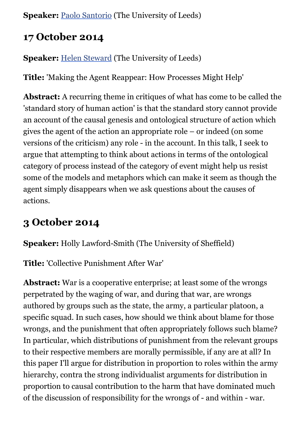**Speaker:** [Paolo Santorio](http://www.leeds.ac.uk/arts/profile/20042/956/paolo_santorio) (The University of Leeds)

#### **17 October 2014**

**Speaker:** [Helen Steward](http://www.leeds.ac.uk/arts/profile/20042/455/helen_steward) (The University of Leeds)

**Title:** 'Making the Agent Reappear: How Processes Might Help'

**Abstract:** A recurring theme in critiques of what has come to be called the 'standard story of human action' is that the standard story cannot provide an account of the causal genesis and ontological structure of action which gives the agent of the action an appropriate role – or indeed (on some versions of the criticism) any role - in the account. In this talk, I seek to argue that attempting to think about actions in terms of the ontological category of process instead of the category of event might help us resist some of the models and metaphors which can make it seem as though the agent simply disappears when we ask questions about the causes of actions.

### **3 October 2014**

**Speaker:** Holly Lawford-Smith (The University of Sheffield)

**Title:** 'Collective Punishment After War'

**Abstract:** War is a cooperative enterprise; at least some of the wrongs perpetrated by the waging of war, and during that war, are wrongs authored by groups such as the state, the army, a particular platoon, a specific squad. In such cases, how should we think about blame for those wrongs, and the punishment that often appropriately follows such blame? In particular, which distributions of punishment from the relevant groups to their respective members are morally permissible, if any are at all? In this paper I'll argue for distribution in proportion to roles within the army hierarchy, contra the strong individualist arguments for distribution in proportion to causal contribution to the harm that have dominated much of the discussion of responsibility for the wrongs of - and within - war.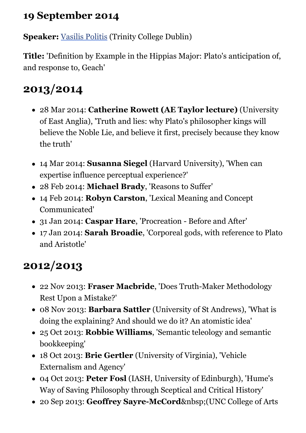### **19 September 2014**

**Speaker:** [Vasilis Politis](http://people.tcd.ie/vpolitis) (Trinity College Dublin)

**Title:** 'Definition by Example in the Hippias Major: Plato's anticipation of, and response to, Geach'

# **2013/2014**

- 28 Mar 2014: **Catherine Rowett (AE Taylor lecture)** (University of East Anglia), 'Truth and lies: why Plato's philosopher kings will believe the Noble Lie, and believe it first, precisely because they know the truth'
- 14 Mar 2014: **Susanna Siegel** (Harvard University), 'When can expertise influence perceptual experience?'
- 28 Feb 2014: **Michael Brady**, 'Reasons to Suffer'
- 14 Feb 2014: **Robyn Carston**, 'Lexical Meaning and Concept Communicated'
- 31 Jan 2014: **Caspar Hare**, 'Procreation Before and After'
- 17 Jan 2014: **Sarah Broadie**, 'Corporeal gods, with reference to Plato and Aristotle'

# **2012/2013**

- 22 Nov 2013: **Fraser Macbride**, 'Does Truth-Maker Methodology Rest Upon a Mistake?'
- 08 Nov 2013: **Barbara Sattler** (University of St Andrews), 'What is doing the explaining? And should we do it? An atomistic idea'
- 25 Oct 2013: **Robbie Williams**, 'Semantic teleology and semantic bookkeeping'
- 18 Oct 2013: **Brie Gertler** (University of Virginia), 'Vehicle Externalism and Agency'
- 04 Oct 2013: **Peter Fosl** (IASH, University of Edinburgh), 'Hume's Way of Saving Philosophy through Sceptical and Critical History'
- 20 Sep 2013: **Geoffrey Sayre-McCord** & nbsp; (UNC College of Arts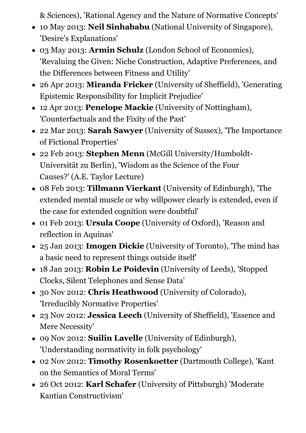& Sciences), 'Rational Agency and the Nature of Normative Concepts'

- 10 May 2013: **Neil Sinhababu** (National University of Singapore), 'Desire's Explanations'
- 03 May 2013: **Armin Schulz** (London School of Economics), 'Revaluing the Given: Niche Construction, Adaptive Preferences, and the Differences between Fitness and Utility'
- 26 Apr 2013: **Miranda Fricker** (University of Sheffield), 'Generating Epistemic Responsibility for Implicit Prejudice'
- 12 Apr 2013: **Penelope Mackie** (University of Nottingham), 'Counterfactuals and the Fixity of the Past'
- 22 Mar 2013: **Sarah Sawyer** (University of Sussex), 'The Importance of Fictional Properties'
- 22 Feb 2013: **Stephen Menn** (McGill University/Humboldt-Universität zu Berlin), 'Wisdom as the Science of the Four Causes?' (A.E. Taylor Lecture)
- 08 Feb 2013: **Tillmann Vierkant** (University of Edinburgh), 'The extended mental muscle or why willpower clearly is extended, even if the case for extended cognition were doubtful'
- 01 Feb 2013: **Ursula Coope** (University of Oxford), 'Reason and reflection in Aquinas'
- 25 Jan 2013: **Imogen Dickie** (University of Toronto), 'The mind has a basic need to represent things outside itself'
- 18 Jan 2013: **Robin Le Poidevin** (University of Leeds), 'Stopped Clocks, Silent Telephones and Sense Data'
- 30 Nov 2012: **Chris Heathwood** (University of Colorado), 'Irreducibly Normative Properties'
- 23 Nov 2012: **Jessica Leech** (University of Sheffield), 'Essence and Mere Necessity'
- 09 Nov 2012: **Suilin Lavelle** (University of Edinburgh), 'Understanding normativity in folk psychology'
- 02 Nov 2012: **Timothy Rosenkoetter** (Dartmouth College), 'Kant on the Semantics of Moral Terms'
- 26 Oct 2012: **Karl Schafer** (University of Pittsburgh) 'Moderate Kantian Constructivism'